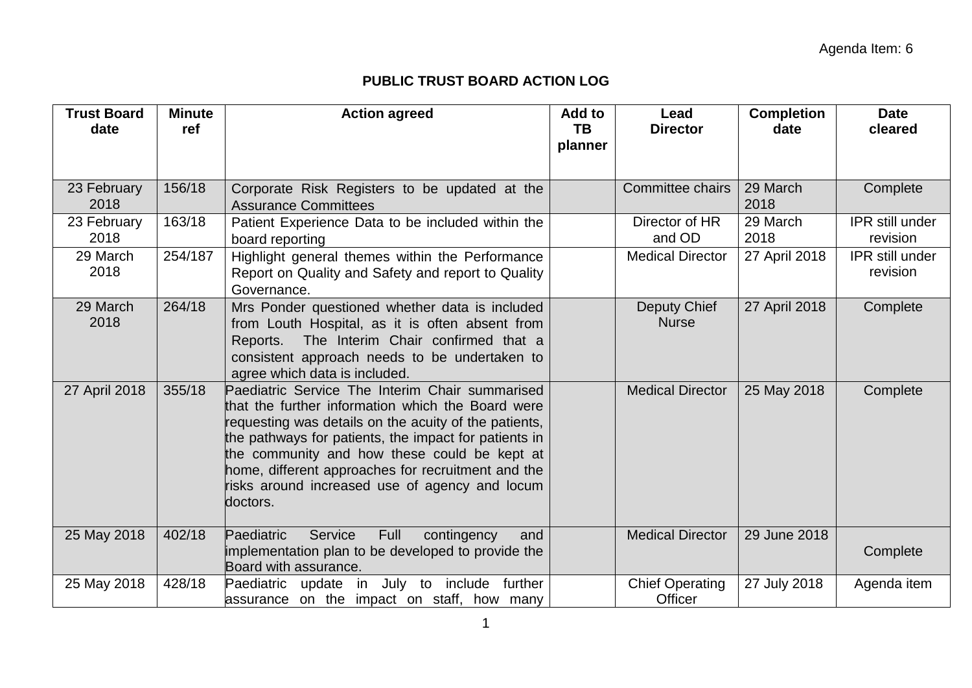## **PUBLIC TRUST BOARD ACTION LOG**

| <b>Trust Board</b><br>date | <b>Minute</b><br>ref | <b>Action agreed</b>                                                                                                                                                                                                                                                                                                                                                                       | Add to<br><b>TB</b> | Lead<br><b>Director</b>           | <b>Completion</b><br>date | <b>Date</b><br>cleared             |
|----------------------------|----------------------|--------------------------------------------------------------------------------------------------------------------------------------------------------------------------------------------------------------------------------------------------------------------------------------------------------------------------------------------------------------------------------------------|---------------------|-----------------------------------|---------------------------|------------------------------------|
|                            |                      |                                                                                                                                                                                                                                                                                                                                                                                            | planner             |                                   |                           |                                    |
| 23 February<br>2018        | 156/18               | Corporate Risk Registers to be updated at the<br><b>Assurance Committees</b>                                                                                                                                                                                                                                                                                                               |                     | <b>Committee chairs</b>           | 29 March<br>2018          | Complete                           |
| 23 February<br>2018        | 163/18               | Patient Experience Data to be included within the<br>board reporting                                                                                                                                                                                                                                                                                                                       |                     | Director of HR<br>and OD          | 29 March<br>2018          | <b>IPR</b> still under<br>revision |
| 29 March<br>2018           | 254/187              | Highlight general themes within the Performance<br>Report on Quality and Safety and report to Quality<br>Governance.                                                                                                                                                                                                                                                                       |                     | <b>Medical Director</b>           | 27 April 2018             | IPR still under<br>revision        |
| 29 March<br>2018           | 264/18               | Mrs Ponder questioned whether data is included<br>from Louth Hospital, as it is often absent from<br>The Interim Chair confirmed that a<br>Reports.<br>consistent approach needs to be undertaken to<br>agree which data is included.                                                                                                                                                      |                     | Deputy Chief<br><b>Nurse</b>      | 27 April 2018             | Complete                           |
| 27 April 2018              | 355/18               | Paediatric Service The Interim Chair summarised<br>that the further information which the Board were<br>requesting was details on the acuity of the patients,<br>the pathways for patients, the impact for patients in<br>the community and how these could be kept at<br>home, different approaches for recruitment and the<br>risks around increased use of agency and locum<br>doctors. |                     | <b>Medical Director</b>           | 25 May 2018               | Complete                           |
| 25 May 2018                | 402/18               | Service<br>Full<br>Paediatric<br>contingency<br>and<br>implementation plan to be developed to provide the<br>Board with assurance.                                                                                                                                                                                                                                                         |                     | <b>Medical Director</b>           | 29 June 2018              | Complete                           |
| 25 May 2018                | 428/18               | update in July to include further<br>Paediatric<br>assurance on the impact on staff, how many                                                                                                                                                                                                                                                                                              |                     | <b>Chief Operating</b><br>Officer | 27 July 2018              | Agenda item                        |